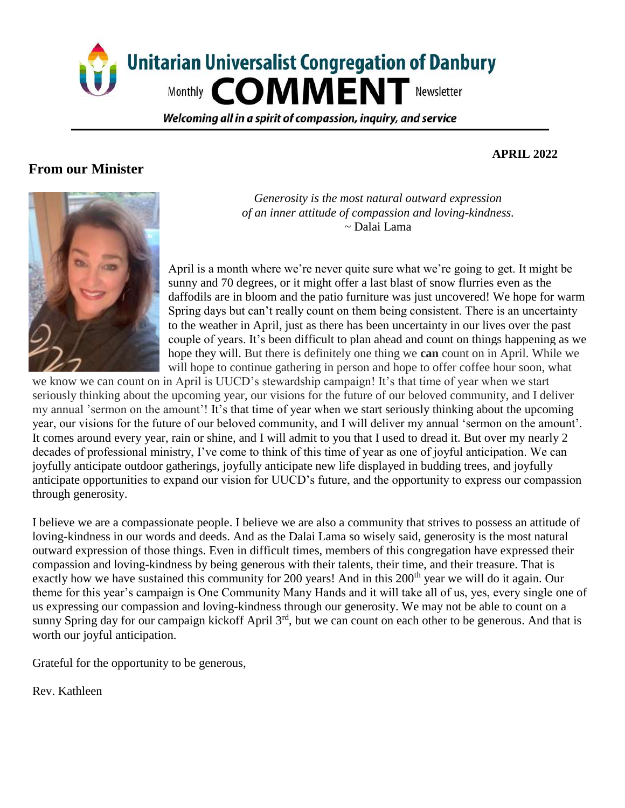

Welcoming all in a spirit of compassion, inguiry, and service

#### **From our Minister**

#### **APRIL 2022**



*Generosity is the most natural outward expression of an inner attitude of compassion and loving-kindness.* ~ Dalai Lama

April is a month where we're never quite sure what we're going to get. It might be sunny and 70 degrees, or it might offer a last blast of snow flurries even as the daffodils are in bloom and the patio furniture was just uncovered! We hope for warm Spring days but can't really count on them being consistent. There is an uncertainty to the weather in April, just as there has been uncertainty in our lives over the past couple of years. It's been difficult to plan ahead and count on things happening as we hope they will. But there is definitely one thing we **can** count on in April. While we will hope to continue gathering in person and hope to offer coffee hour soon, what

we know we can count on in April is UUCD's stewardship campaign! It's that time of year when we start seriously thinking about the upcoming year, our visions for the future of our beloved community, and I deliver my annual 'sermon on the amount'! It's that time of year when we start seriously thinking about the upcoming year, our visions for the future of our beloved community, and I will deliver my annual 'sermon on the amount'. It comes around every year, rain or shine, and I will admit to you that I used to dread it. But over my nearly 2 decades of professional ministry, I've come to think of this time of year as one of joyful anticipation. We can joyfully anticipate outdoor gatherings, joyfully anticipate new life displayed in budding trees, and joyfully anticipate opportunities to expand our vision for UUCD's future, and the opportunity to express our compassion through generosity.

I believe we are a compassionate people. I believe we are also a community that strives to possess an attitude of loving-kindness in our words and deeds. And as the Dalai Lama so wisely said, generosity is the most natural outward expression of those things. Even in difficult times, members of this congregation have expressed their compassion and loving-kindness by being generous with their talents, their time, and their treasure. That is exactly how we have sustained this community for 200 years! And in this 200<sup>th</sup> year we will do it again. Our theme for this year's campaign is One Community Many Hands and it will take all of us, yes, every single one of us expressing our compassion and loving-kindness through our generosity. We may not be able to count on a sunny Spring day for our campaign kickoff April 3<sup>rd</sup>, but we can count on each other to be generous. And that is worth our joyful anticipation.

Grateful for the opportunity to be generous,

Rev. Kathleen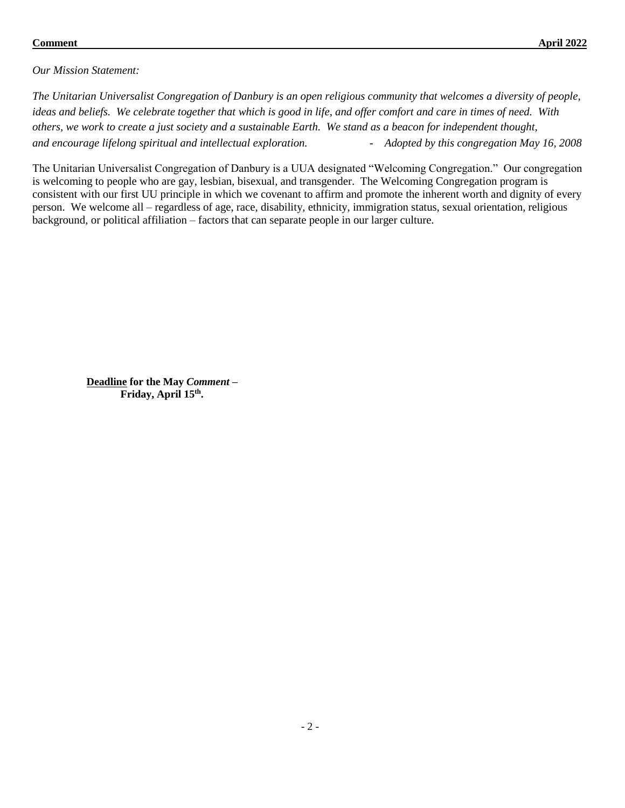#### **Comment April 2022**

*Our Mission Statement:*

*The Unitarian Universalist Congregation of Danbury is an open religious community that welcomes a diversity of people, ideas and beliefs. We celebrate together that which is good in life, and offer comfort and care in times of need. With others, we work to create a just society and a sustainable Earth. We stand as a beacon for independent thought, and encourage lifelong spiritual and intellectual exploration. - Adopted by this congregation May 16, 2008* 

The Unitarian Universalist Congregation of Danbury is a UUA designated "Welcoming Congregation." Our congregation is welcoming to people who are gay, lesbian, bisexual, and transgender. The Welcoming Congregation program is consistent with our first UU principle in which we covenant to affirm and promote the inherent worth and dignity of every person. We welcome all – regardless of age, race, disability, ethnicity, immigration status, sexual orientation, religious background, or political affiliation – factors that can separate people in our larger culture.

**Deadline for the May** *Comment –* **Friday, April 15th .**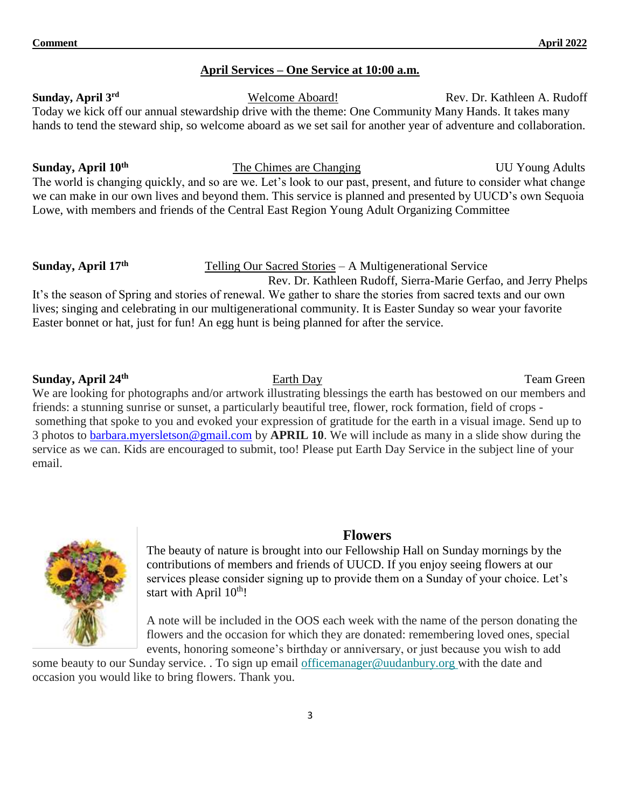#### **April Services – One Service at 10:00 a.m.**

**Sunday, April 3rd** Welcome Aboard! Rev. Dr. Kathleen A. Rudoff Today we kick off our annual stewardship drive with the theme: One Community Many Hands. It takes many hands to tend the steward ship, so welcome aboard as we set sail for another year of adventure and collaboration.

**Sunday, April 10th The Chimes are Changing UU Young Adults** The world is changing quickly, and so are we. Let's look to our past, present, and future to consider what change we can make in our own lives and beyond them. This service is planned and presented by UUCD's own Sequoia Lowe, with members and friends of the Central East Region Young Adult Organizing Committee

#### **Sunday, April 17th**

Telling Our Sacred Stories – A Multigenerational Service

 Rev. Dr. Kathleen Rudoff, Sierra-Marie Gerfao, and Jerry Phelps It's the season of Spring and stories of renewal. We gather to share the stories from sacred texts and our own lives; singing and celebrating in our multigenerational community. It is Easter Sunday so wear your favorite Easter bonnet or hat, just for fun! An egg hunt is being planned for after the service.

#### **Sunday, April 24th**

We are looking for photographs and/or artwork illustrating blessings the earth has bestowed on our members and friends: a stunning sunrise or sunset, a particularly beautiful tree, flower, rock formation, field of crops something that spoke to you and evoked your expression of gratitude for the earth in a visual image. Send up to 3 photos to [barbara.myersletson@gmail.com](mailto:barbara.myersletson@gmail.com) by **APRIL 10**. We will include as many in a slide show during the service as we can. Kids are encouraged to submit, too! Please put Earth Day Service in the subject line of your email.

#### **Flowers**

The beauty of nature is brought into our Fellowship Hall on Sunday mornings by the contributions of members and friends of UUCD. If you enjoy seeing flowers at our services please consider signing up to provide them on a Sunday of your choice. Let's start with April  $10<sup>th</sup>$ !

A note will be included in the OOS each week with the name of the person donating the flowers and the occasion for which they are donated: remembering loved ones, special events, honoring someone's birthday or anniversary, or just because you wish to add

some beauty to our Sunday service. . To sign up email [officemanager@uudanbury.org](mailto:officemanager@uudanbury.org) with the date and occasion you would like to bring flowers. Thank you.

**Earth Day** Team Green

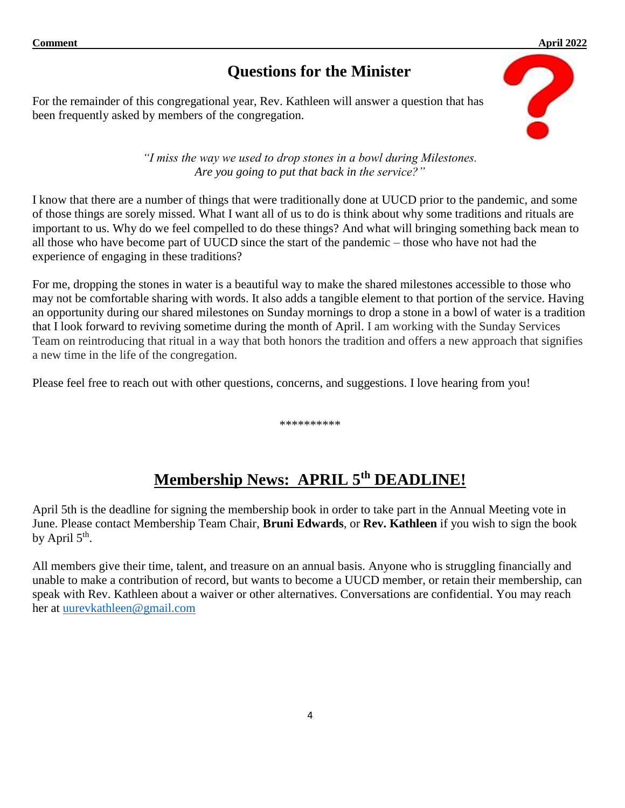#### **Comment April 2022**

## **Questions for the Minister**

For the remainder of this congregational year, Rev. Kathleen will answer a question that has been frequently asked by members of the congregation.



*"I miss the way we used to drop stones in a bowl during Milestones. Are you going to put that back in the service?"*

I know that there are a number of things that were traditionally done at UUCD prior to the pandemic, and some of those things are sorely missed. What I want all of us to do is think about why some traditions and rituals are important to us. Why do we feel compelled to do these things? And what will bringing something back mean to all those who have become part of UUCD since the start of the pandemic – those who have not had the experience of engaging in these traditions?

For me, dropping the stones in water is a beautiful way to make the shared milestones accessible to those who may not be comfortable sharing with words. It also adds a tangible element to that portion of the service. Having an opportunity during our shared milestones on Sunday mornings to drop a stone in a bowl of water is a tradition that I look forward to reviving sometime during the month of April. I am working with the Sunday Services Team on reintroducing that ritual in a way that both honors the tradition and offers a new approach that signifies a new time in the life of the congregation.

Please feel free to reach out with other questions, concerns, and suggestions. I love hearing from you!

\*\*\*\*\*\*\*\*\*\*

## **Membership News: APRIL 5th DEADLINE!**

April 5th is the deadline for signing the membership book in order to take part in the Annual Meeting vote in June. Please contact Membership Team Chair, **Bruni Edwards**, or **Rev. Kathleen** if you wish to sign the book by April  $5^{\text{th}}$ .

All members give their time, talent, and treasure on an annual basis. Anyone who is struggling financially and unable to make a contribution of record, but wants to become a UUCD member, or retain their membership, can speak with Rev. Kathleen about a waiver or other alternatives. Conversations are confidential. You may reach her at [uurevkathleen@gmail.com](mailto:uurevkathleen@gmail.com)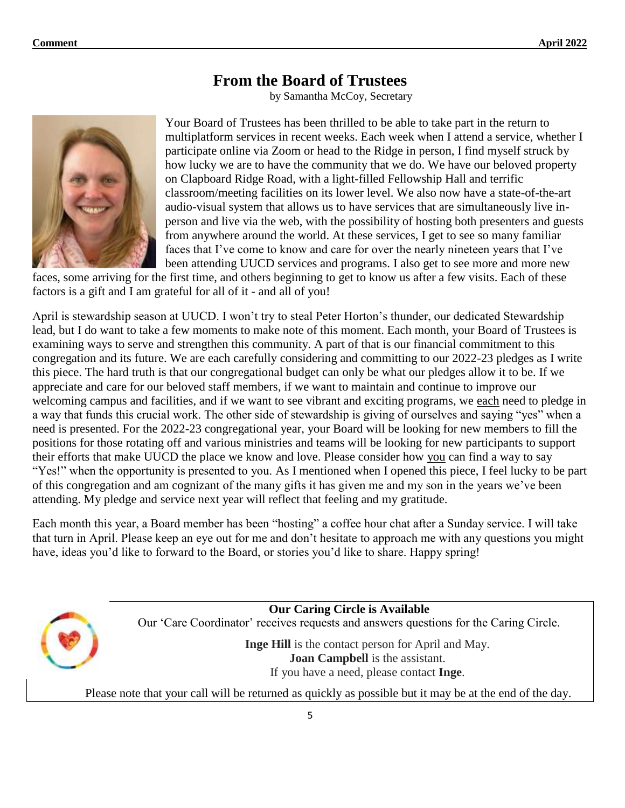## **From the Board of Trustees**

by Samantha McCoy, Secretary



Your Board of Trustees has been thrilled to be able to take part in the return to multiplatform services in recent weeks. Each week when I attend a service, whether I participate online via Zoom or head to the Ridge in person, I find myself struck by how lucky we are to have the community that we do. We have our beloved property on Clapboard Ridge Road, with a light-filled Fellowship Hall and terrific classroom/meeting facilities on its lower level. We also now have a state-of-the-art audio-visual system that allows us to have services that are simultaneously live inperson and live via the web, with the possibility of hosting both presenters and guests from anywhere around the world. At these services, I get to see so many familiar faces that I've come to know and care for over the nearly nineteen years that I've been attending UUCD services and programs. I also get to see more and more new

faces, some arriving for the first time, and others beginning to get to know us after a few visits. Each of these factors is a gift and I am grateful for all of it - and all of you!

April is stewardship season at UUCD. I won't try to steal Peter Horton's thunder, our dedicated Stewardship lead, but I do want to take a few moments to make note of this moment. Each month, your Board of Trustees is examining ways to serve and strengthen this community. A part of that is our financial commitment to this congregation and its future. We are each carefully considering and committing to our 2022-23 pledges as I write this piece. The hard truth is that our congregational budget can only be what our pledges allow it to be. If we appreciate and care for our beloved staff members, if we want to maintain and continue to improve our welcoming campus and facilities, and if we want to see vibrant and exciting programs, we each need to pledge in a way that funds this crucial work. The other side of stewardship is giving of ourselves and saying "yes" when a need is presented. For the 2022-23 congregational year, your Board will be looking for new members to fill the positions for those rotating off and various ministries and teams will be looking for new participants to support their efforts that make UUCD the place we know and love. Please consider how you can find a way to say "Yes!" when the opportunity is presented to you. As I mentioned when I opened this piece, I feel lucky to be part of this congregation and am cognizant of the many gifts it has given me and my son in the years we've been attending. My pledge and service next year will reflect that feeling and my gratitude.

Each month this year, a Board member has been "hosting" a coffee hour chat after a Sunday service. I will take that turn in April. Please keep an eye out for me and don't hesitate to approach me with any questions you might have, ideas you'd like to forward to the Board, or stories you'd like to share. Happy spring!

> **Our Caring Circle is Available** Our 'Care Coordinator' receives requests and answers questions for the Caring Circle. **Inge Hill** is the contact person for April and May. **Joan Campbell** is the assistant.

> > If you have a need, please contact **Inge**.

Please note that your call will be returned as quickly as possible but it may be at the end of the day.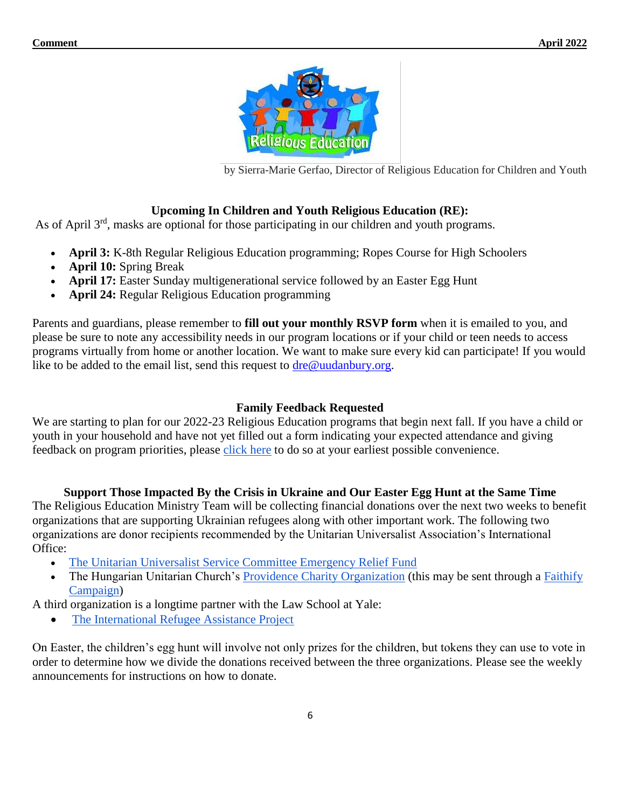

by Sierra-Marie Gerfao, Director of Religious Education for Children and Youth

#### **Upcoming In Children and Youth Religious Education (RE):**

As of April 3<sup>rd</sup>, masks are optional for those participating in our children and youth programs.

- **April 3:** K-8th Regular Religious Education programming; Ropes Course for High Schoolers
- **April 10:** Spring Break
- **April 17:** Easter Sunday multigenerational service followed by an Easter Egg Hunt
- **April 24:** Regular Religious Education programming

Parents and guardians, please remember to **fill out your monthly RSVP form** when it is emailed to you, and please be sure to note any accessibility needs in our program locations or if your child or teen needs to access programs virtually from home or another location. We want to make sure every kid can participate! If you would like to be added to the email list, send this request to [dre@uudanbury.org.](mailto:dre@uudanbury.org)

#### **Family Feedback Requested**

We are starting to plan for our 2022-23 Religious Education programs that begin next fall. If you have a child or youth in your household and have not yet filled out a form indicating your expected attendance and giving feedback on program priorities, please [click here](https://forms.gle/DeEV5kJN5Q9spXhm8) to do so at your earliest possible convenience.

#### **Support Those Impacted By the Crisis in Ukraine and Our Easter Egg Hunt at the Same Time**

The Religious Education Ministry Team will be collecting financial donations over the next two weeks to benefit organizations that are supporting Ukrainian refugees along with other important work. The following two organizations are donor recipients recommended by the Unitarian Universalist Association's International Office:

- [The Unitarian Universalist Service Committee Emergency Relief Fund](https://donate.uusc.org/give/355250/#!/donation/checkout?preset1=35&preset2=50&preset3=75&preset4=150&utm_source=fy22-fund-NDs-Ukraine-Response&utm_medium=email&utm_campaign=fy22-fund)
- The Hungarian Unitarian Church's [Providence Charity Organization](https://www.uua.org/files/2022-03/Call%20for%20Aid%20HUC.pdf) (this may be sent through a Faithify [Campaign\)](https://www.faithify.org/campaign/51/Support-Families-Fleeing-War-in-Ukraine)

A third organization is a longtime partner with the Law School at Yale:

• [The International Refugee Assistance Project](https://refugeerights.org/)

On Easter, the children's egg hunt will involve not only prizes for the children, but tokens they can use to vote in order to determine how we divide the donations received between the three organizations. Please see the weekly announcements for instructions on how to donate.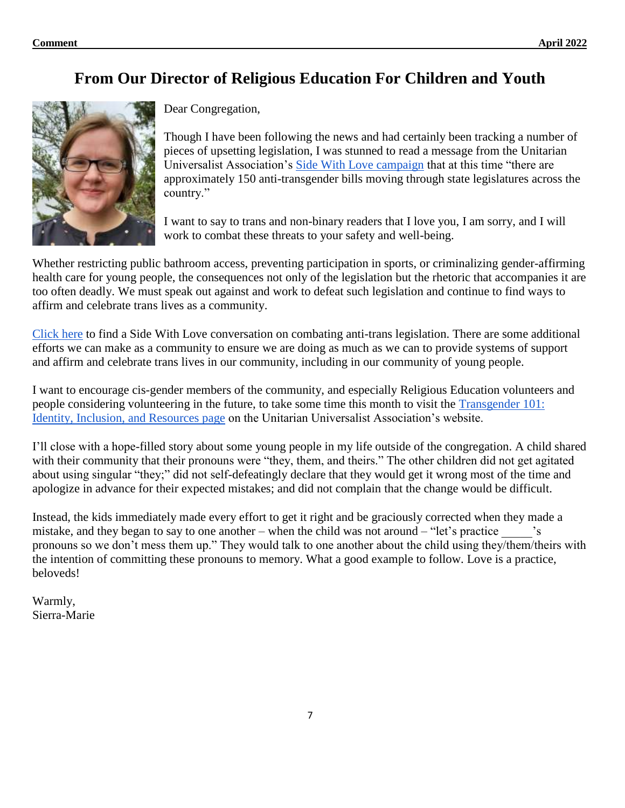## **From Our Director of Religious Education For Children and Youth**



Dear Congregation,

Though I have been following the news and had certainly been tracking a number of pieces of upsetting legislation, I was stunned to read a message from the Unitarian Universalist Association's [Side With Love campaign](https://sidewithlove.org/) that at this time "there are approximately 150 anti-transgender bills moving through state legislatures across the country."

I want to say to trans and non-binary readers that I love you, I am sorry, and I will work to combat these threats to your safety and well-being.

Whether restricting public bathroom access, preventing participation in sports, or criminalizing gender-affirming health care for young people, the consequences not only of the legislation but the rhetoric that accompanies it are too often deadly. We must speak out against and work to defeat such legislation and continue to find ways to affirm and celebrate trans lives as a community.

[Click here](https://sidewithlove.org/ourstories/2022/3/17/combating-anti-trans-legislation) to find a Side With Love conversation on combating anti-trans legislation. There are some additional efforts we can make as a community to ensure we are doing as much as we can to provide systems of support and affirm and celebrate trans lives in our community, including in our community of young people.

I want to encourage cis-gender members of the community, and especially Religious Education volunteers and people considering volunteering in the future, to take some time this month to visit the [Transgender 101:](https://www.uua.org/lgbtq/identity/transgender)  [Identity, Inclusion, and Resources page](https://www.uua.org/lgbtq/identity/transgender) on the Unitarian Universalist Association's website.

I'll close with a hope-filled story about some young people in my life outside of the congregation. A child shared with their community that their pronouns were "they, them, and theirs." The other children did not get agitated about using singular "they;" did not self-defeatingly declare that they would get it wrong most of the time and apologize in advance for their expected mistakes; and did not complain that the change would be difficult.

Instead, the kids immediately made every effort to get it right and be graciously corrected when they made a mistake, and they began to say to one another – when the child was not around – "let's practice pronouns so we don't mess them up." They would talk to one another about the child using they/them/theirs with the intention of committing these pronouns to memory. What a good example to follow. Love is a practice, beloveds!

Warmly, Sierra-Marie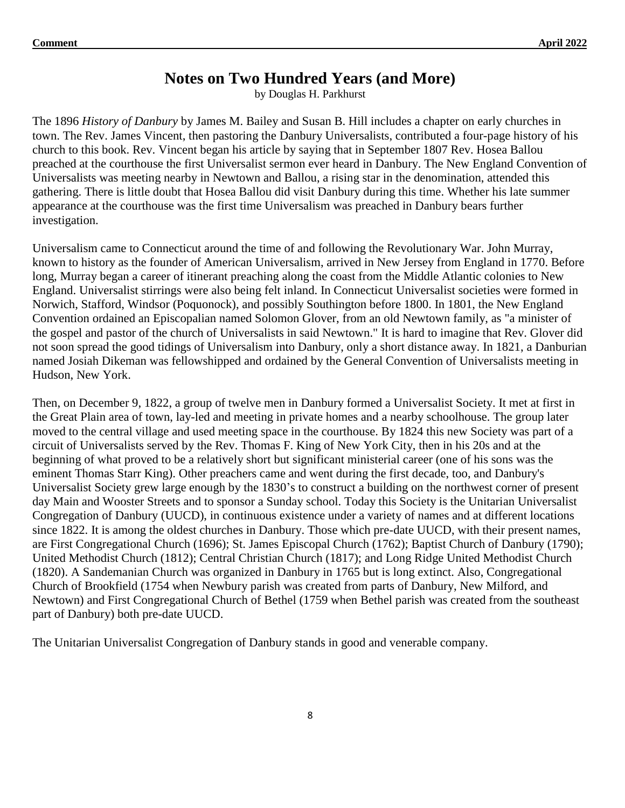## **Notes on Two Hundred Years (and More)**

by Douglas H. Parkhurst

The 1896 *History of Danbury* by James M. Bailey and Susan B. Hill includes a chapter on early churches in town. The Rev. James Vincent, then pastoring the Danbury Universalists, contributed a four-page history of his church to this book. Rev. Vincent began his article by saying that in September 1807 Rev. Hosea Ballou preached at the courthouse the first Universalist sermon ever heard in Danbury. The New England Convention of Universalists was meeting nearby in Newtown and Ballou, a rising star in the denomination, attended this gathering. There is little doubt that Hosea Ballou did visit Danbury during this time. Whether his late summer appearance at the courthouse was the first time Universalism was preached in Danbury bears further investigation.

Universalism came to Connecticut around the time of and following the Revolutionary War. John Murray, known to history as the founder of American Universalism, arrived in New Jersey from England in 1770. Before long, Murray began a career of itinerant preaching along the coast from the Middle Atlantic colonies to New England. Universalist stirrings were also being felt inland. In Connecticut Universalist societies were formed in Norwich, Stafford, Windsor (Poquonock), and possibly Southington before 1800. In 1801, the New England Convention ordained an Episcopalian named Solomon Glover, from an old Newtown family, as "a minister of the gospel and pastor of the church of Universalists in said Newtown." It is hard to imagine that Rev. Glover did not soon spread the good tidings of Universalism into Danbury, only a short distance away. In 1821, a Danburian named Josiah Dikeman was fellowshipped and ordained by the General Convention of Universalists meeting in Hudson, New York.

Then, on December 9, 1822, a group of twelve men in Danbury formed a Universalist Society. It met at first in the Great Plain area of town, lay-led and meeting in private homes and a nearby schoolhouse. The group later moved to the central village and used meeting space in the courthouse. By 1824 this new Society was part of a circuit of Universalists served by the Rev. Thomas F. King of New York City, then in his 20s and at the beginning of what proved to be a relatively short but significant ministerial career (one of his sons was the eminent Thomas Starr King). Other preachers came and went during the first decade, too, and Danbury's Universalist Society grew large enough by the 1830's to construct a building on the northwest corner of present day Main and Wooster Streets and to sponsor a Sunday school. Today this Society is the Unitarian Universalist Congregation of Danbury (UUCD), in continuous existence under a variety of names and at different locations since 1822. It is among the oldest churches in Danbury. Those which pre-date UUCD, with their present names, are First Congregational Church (1696); St. James Episcopal Church (1762); Baptist Church of Danbury (1790); United Methodist Church (1812); Central Christian Church (1817); and Long Ridge United Methodist Church (1820). A Sandemanian Church was organized in Danbury in 1765 but is long extinct. Also, Congregational Church of Brookfield (1754 when Newbury parish was created from parts of Danbury, New Milford, and Newtown) and First Congregational Church of Bethel (1759 when Bethel parish was created from the southeast part of Danbury) both pre-date UUCD.

The Unitarian Universalist Congregation of Danbury stands in good and venerable company.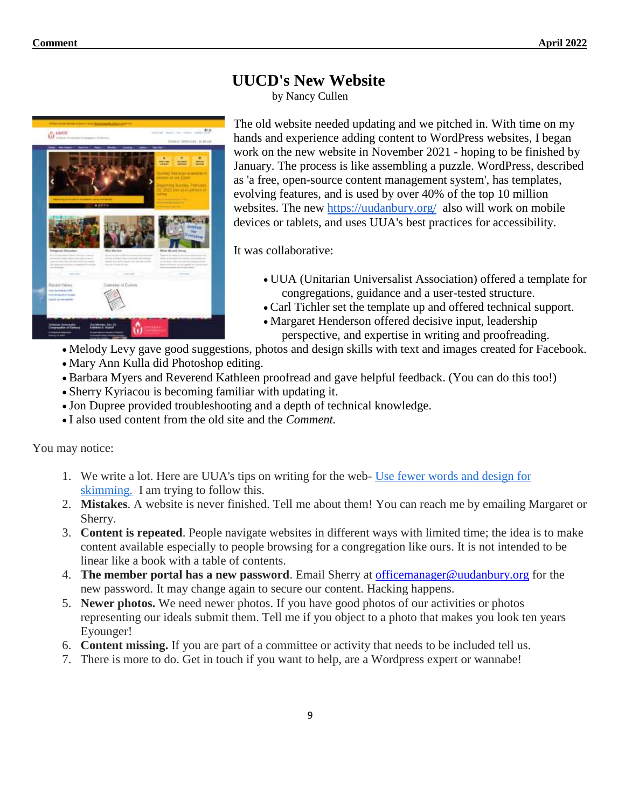

The old website needed updating and we pitched in. With time on my hands and experience adding content to WordPress websites, I began work on the new website in November 2021 - hoping to be finished by January. The process is like assembling a puzzle. WordPress, described as 'a free, open-source content management system', has templates, evolving features, and is used by over 40% of the top 10 million websites. The new <https://uudanbury.org/> also will work on mobile devices or tablets, and uses UUA's best practices for accessibility.

It was collaborative:

**UUCD's New Website** by Nancy Cullen

- UUA (Unitarian Universalist Association) offered a template for congregations, guidance and a user-tested structure.
- Carl Tichler set the template up and offered technical support.
- Margaret Henderson offered decisive input, leadership perspective, and expertise in writing and proofreading.
- Melody Levy gave good suggestions, photos and design skills with text and images created for Facebook.
- Mary Ann Kulla did Photoshop editing.
- Barbara Myers and Reverend Kathleen proofread and gave helpful feedback. (You can do this too!)
- Sherry Kyriacou is becoming familiar with updating it.
- Jon Dupree provided troubleshooting and a depth of technical knowledge.
- I also used content from the old site and the *Comment.*

You may notice:

- 1. We write a lot. Here are UUA's tips on writing for the web- [Use fewer words and design for](https://www.uua.org/communications/websites/writing)  [skimming.](https://www.uua.org/communications/websites/writing) I am trying to follow this.
- 2. **Mistakes**. A website is never finished. Tell me about them! You can reach me by emailing Margaret or Sherry.
- 3. **Content is repeated**. People navigate websites in different ways with limited time; the idea is to make content available especially to people browsing for a congregation like ours. It is not intended to be linear like a book with a table of contents.
- 4. **The member portal has a new password**. Email Sherry at [officemanager@uudanbury.org](mailto:officemanager@uudanbury.org) for the new password. It may change again to secure our content. Hacking happens.
- 5. **Newer photos.** We need newer photos. If you have good photos of our activities or photos representing our ideals submit them. Tell me if you object to a photo that makes you look ten years Eyounger!
- 6. **Content missing.** If you are part of a committee or activity that needs to be included tell us.
- 7. There is more to do. Get in touch if you want to help, are a Wordpress expert or wannabe!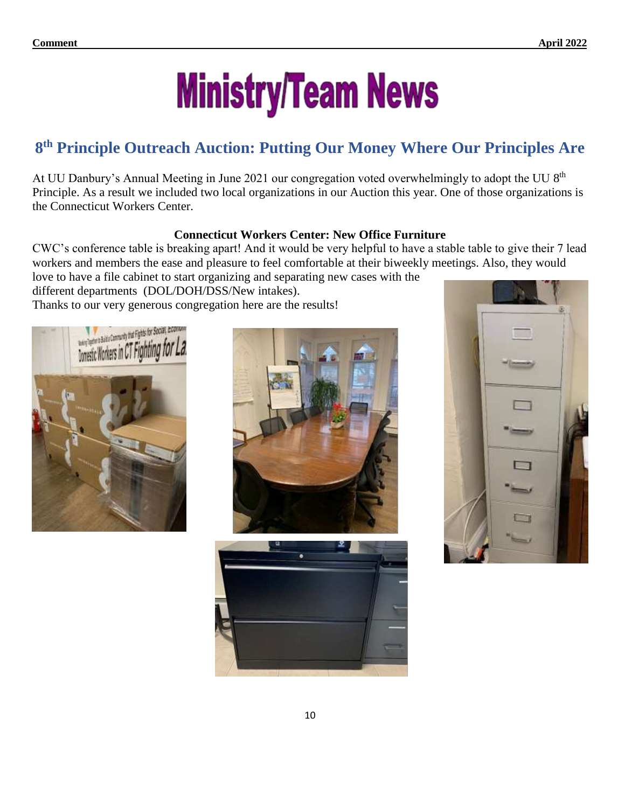# **Ministry/Team News**

## **8 th Principle Outreach Auction: Putting Our Money Where Our Principles Are**

At UU Danbury's Annual Meeting in June 2021 our congregation voted overwhelmingly to adopt the UU 8<sup>th</sup> Principle. As a result we included two local organizations in our Auction this year. One of those organizations is the Connecticut Workers Center.

#### **Connecticut Workers Center: New Office Furniture**

CWC's conference table is breaking apart! And it would be very helpful to have a stable table to give their 7 lead workers and members the ease and pleasure to feel comfortable at their biweekly meetings. Also, they would love to have a file cabinet to start organizing and separating new cases with the

different departments (DOL/DOH/DSS/New intakes). Thanks to our very generous congregation here are the results!







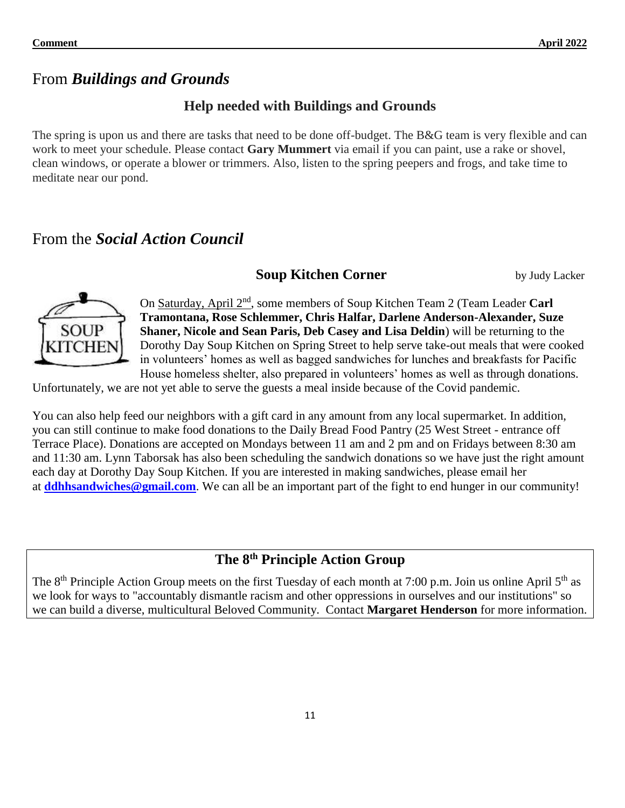## From *Buildings and Grounds*

### **Help needed with Buildings and Grounds**

The spring is upon us and there are tasks that need to be done off-budget. The B&G team is very flexible and can work to meet your schedule. Please contact **Gary Mummert** via email if you can paint, use a rake or shovel, clean windows, or operate a blower or trimmers. Also, listen to the spring peepers and frogs, and take time to meditate near our pond.

## From the *Social Action Council*

#### **Soup Kitchen Corner** by Judy Lacker



On Saturday, April 2<sup>nd</sup>, some members of Soup Kitchen Team 2 (Team Leader Carl **Tramontana, Rose Schlemmer, Chris Halfar, Darlene Anderson-Alexander, Suze Shaner, Nicole and Sean Paris, Deb Casey and Lisa Deldin**) will be returning to the Dorothy Day Soup Kitchen on Spring Street to help serve take-out meals that were cooked in volunteers' homes as well as bagged sandwiches for lunches and breakfasts for Pacific House homeless shelter, also prepared in volunteers' homes as well as through donations.

Unfortunately, we are not yet able to serve the guests a meal inside because of the Covid pandemic.

You can also help feed our neighbors with a gift card in any amount from any local supermarket. In addition, you can still continue to make food donations to the Daily Bread Food Pantry (25 West Street - entrance off Terrace Place). Donations are accepted on Mondays between 11 am and 2 pm and on Fridays between 8:30 am and 11:30 am. Lynn Taborsak has also been scheduling the sandwich donations so we have just the right amount each day at Dorothy Day Soup Kitchen. If you are interested in making sandwiches, please email her at **[ddhhsandwiches@gmail.com](mailto:ddhhsandwiches@gmail.com)**. We can all be an important part of the fight to end hunger in our community!

## **The 8th Principle Action Group**

The 8<sup>th</sup> Principle Action Group meets on the first Tuesday of each month at 7:00 p.m. Join us online April 5<sup>th</sup> as we look for ways to "accountably dismantle racism and other oppressions in ourselves and our institutions" so we can build a diverse, multicultural Beloved Community. Contact **Margaret Henderson** for more information.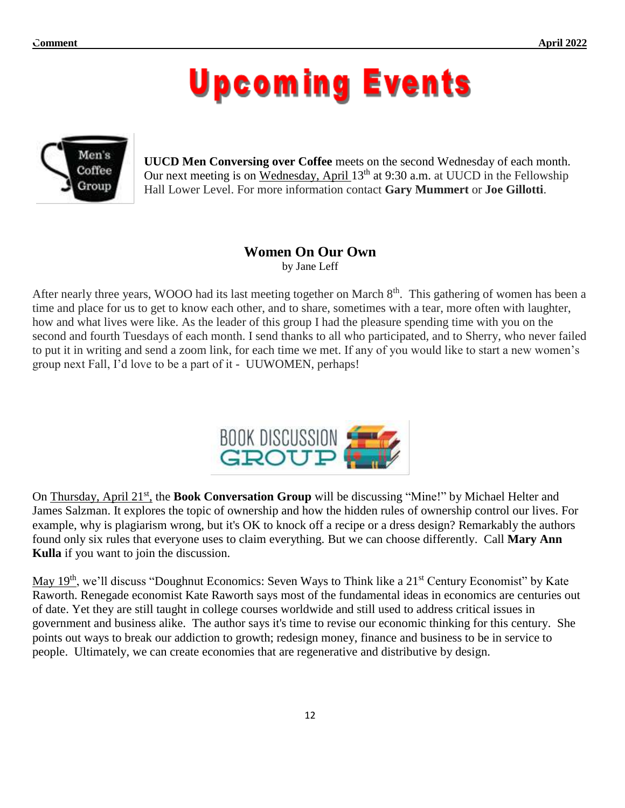## **Upcoming Events**



**UUCD Men Conversing over Coffee** meets on the second Wednesday of each month. Our next meeting is on Wednesday, April 13<sup>th</sup> at 9:30 a.m. at UUCD in the Fellowship Hall Lower Level. For more information contact **Gary Mummert** or **Joe Gillotti**.

## **Women On Our Own**

by Jane Leff

After nearly three years, WOOO had its last meeting together on March 8<sup>th</sup>. This gathering of women has been a time and place for us to get to know each other, and to share, sometimes with a tear, more often with laughter, how and what lives were like. As the leader of this group I had the pleasure spending time with you on the second and fourth Tuesdays of each month. I send thanks to all who participated, and to Sherry, who never failed to put it in writing and send a zoom link, for each time we met. If any of you would like to start a new women's group next Fall, I'd love to be a part of it - UUWOMEN, perhaps!



On Thursday, April 21<sup>st</sup>, the **Book Conversation Group** will be discussing "Mine!" by Michael Helter and James Salzman. It explores the topic of ownership and how the hidden rules of ownership control our lives. For example, why is plagiarism wrong, but it's OK to knock off a recipe or a dress design? Remarkably the authors found only six rules that everyone uses to claim everything. But we can choose differently. Call **Mary Ann Kulla** if you want to join the discussion.

May 19<sup>th</sup>, we'll discuss "Doughnut Economics: Seven Ways to Think like a 21<sup>st</sup> Century Economist" by Kate Raworth. Renegade economist Kate Raworth says most of the fundamental ideas in economics are centuries out of date. Yet they are still taught in college courses worldwide and still used to address critical issues in government and business alike. The author says it's time to revise our economic thinking for this century. She points out ways to break our addiction to growth; redesign money, finance and business to be in service to people. Ultimately, we can create economies that are regenerative and distributive by design.